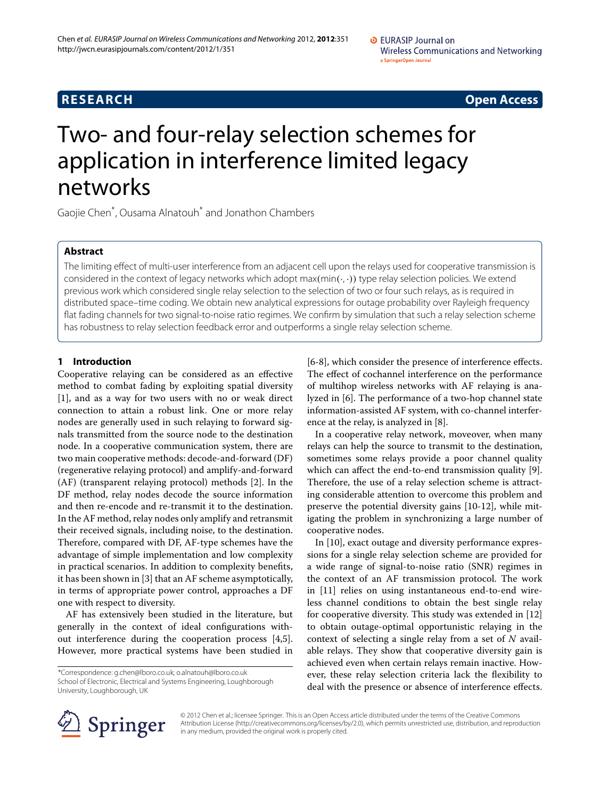## **RESEARCH Open Access**

# Two- and four-relay selection schemes for application in interference limited legacy networks

Gaojie Chen\* , Ousama Alnatouh\* and Jonathon Chambers

## **Abstract**

The limiting effect of multi-user interference from an adjacent cell upon the relays used for cooperative transmission is considered in the context of legacy networks which adopt max*(*min*(*·, ·*))* type relay selection policies. We extend previous work which considered single relay selection to the selection of two or four such relays, as is required in distributed space–time coding. We obtain new analytical expressions for outage probability over Rayleigh frequency flat fading channels for two signal-to-noise ratio regimes. We confirm by simulation that such a relay selection scheme has robustness to relay selection feedback error and outperforms a single relay selection scheme.

## **1 Introduction**

Cooperative relaying can be considered as an effective method to combat fading by exploiting spatial diversity [\[1\]](#page-9-0), and as a way for two users with no or weak direct connection to attain a robust link. One or more relay nodes are generally used in such relaying to forward signals transmitted from the source node to the destination node. In a cooperative communication system, there are two main cooperative methods: decode-and-forward (DF) (regenerative relaying protocol) and amplify-and-forward (AF) (transparent relaying protocol) methods [\[2\]](#page-9-1). In the DF method, relay nodes decode the source information and then re-encode and re-transmit it to the destination. In the AF method, relay nodes only amplify and retransmit their received signals, including noise, to the destination. Therefore, compared with DF, AF-type schemes have the advantage of simple implementation and low complexity in practical scenarios. In addition to complexity benefits, it has been shown in [\[3\]](#page-9-2) that an AF scheme asymptotically, in terms of appropriate power control, approaches a DF one with respect to diversity.

AF has extensively been studied in the literature, but generally in the context of ideal configurations without interference during the cooperation process [\[4,](#page-9-3)[5\]](#page-9-4). However, more practical systems have been studied in

\*Correspondence: g.chen@lboro.co.uk; o.alnatouh@lboro.co.uk School of Electronic, Electrical and Systems Engineering, Loughborough University, Loughborough, UK

[\[6](#page-9-5)[-8\]](#page-9-6), which consider the presence of interference effects. The effect of cochannel interference on the performance of multihop wireless networks with AF relaying is analyzed in [\[6\]](#page-9-5). The performance of a two-hop channel state information-assisted AF system, with co-channel interference at the relay, is analyzed in [\[8\]](#page-9-6).

In a cooperative relay network, moveover, when many relays can help the source to transmit to the destination, sometimes some relays provide a poor channel quality which can affect the end-to-end transmission quality [\[9\]](#page-9-7). Therefore, the use of a relay selection scheme is attracting considerable attention to overcome this problem and preserve the potential diversity gains [\[10-](#page-9-8)[12\]](#page-9-9), while mitigating the problem in synchronizing a large number of cooperative nodes.

In [\[10\]](#page-9-8), exact outage and diversity performance expressions for a single relay selection scheme are provided for a wide range of signal-to-noise ratio (SNR) regimes in the context of an AF transmission protocol. The work in [\[11\]](#page-9-10) relies on using instantaneous end-to-end wireless channel conditions to obtain the best single relay for cooperative diversity. This study was extended in [\[12\]](#page-9-9) to obtain outage-optimal opportunistic relaying in the context of selecting a single relay from a set of *N* available relays. They show that cooperative diversity gain is achieved even when certain relays remain inactive. However, these relay selection criteria lack the flexibility to deal with the presence or absence of interference effects.



© 2012 Chen et al.; licensee Springer. This is an Open Access article distributed under the terms of the Creative Commons Attribution License (http://creativecommons.org/licenses/by/2.0), which permits unrestricted use, distribution, and reproduction in any medium, provided the original work is properly cited.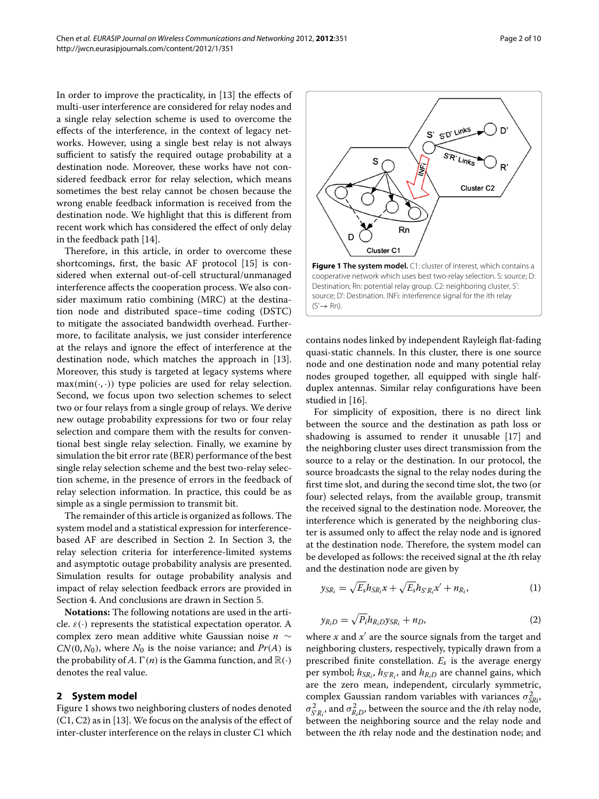In order to improve the practicality, in [\[13\]](#page-9-11) the effects of multi-user interference are considered for relay nodes and a single relay selection scheme is used to overcome the effects of the interference, in the context of legacy networks. However, using a single best relay is not always sufficient to satisfy the required outage probability at a destination node. Moreover, these works have not considered feedback error for relay selection, which means sometimes the best relay cannot be chosen because the wrong enable feedback information is received from the destination node. We highlight that this is different from recent work which has considered the effect of only delay in the feedback path [\[14\]](#page-9-12).

Therefore, in this article, in order to overcome these shortcomings, first, the basic AF protocol [\[15\]](#page-9-13) is considered when external out-of-cell structural/unmanaged interference affects the cooperation process. We also consider maximum ratio combining (MRC) at the destination node and distributed space–time coding (DSTC) to mitigate the associated bandwidth overhead. Furthermore, to facilitate analysis, we just consider interference at the relays and ignore the effect of interference at the destination node, which matches the approach in [\[13\]](#page-9-11). Moreover, this study is targeted at legacy systems where max*(*min*(*·, ·*))* type policies are used for relay selection. Second, we focus upon two selection schemes to select two or four relays from a single group of relays. We derive new outage probability expressions for two or four relay selection and compare them with the results for conventional best single relay selection. Finally, we examine by simulation the bit error rate (BER) performance of the best single relay selection scheme and the best two-relay selection scheme, in the presence of errors in the feedback of relay selection information. In practice, this could be as simple as a single permission to transmit bit.

The remainder of this article is organized as follows. The system model and a statistical expression for interferencebased AF are described in Section [2.](#page-1-0) In Section [3,](#page-2-0) the relay selection criteria for interference-limited systems and asymptotic outage probability analysis are presented. Simulation results for outage probability analysis and impact of relay selection feedback errors are provided in Section [4.](#page-5-0) And conclusions are drawn in Section [5.](#page-8-0)

**Notations:** The following notations are used in the article.  $\varepsilon(\cdot)$  represents the statistical expectation operator. A complex zero mean additive white Gaussian noise *n* ∼  $CN(0, N_0)$ , where  $N_0$  is the noise variance; and  $Pr(A)$  is the probability of A.  $\Gamma(n)$  is the Gamma function, and  $\mathbb{R}(\cdot)$ denotes the real value.

## <span id="page-1-0"></span>**2 System model**

Figure [1](#page-1-1) shows two neighboring clusters of nodes denoted (C1, C2) as in [\[13\]](#page-9-11). We focus on the analysis of the effect of inter-cluster interference on the relays in cluster C1 which



<span id="page-1-1"></span>contains nodes linked by independent Rayleigh flat-fading quasi-static channels. In this cluster, there is one source node and one destination node and many potential relay nodes grouped together, all equipped with single halfduplex antennas. Similar relay configurations have been studied in [\[16\]](#page-9-14).

For simplicity of exposition, there is no direct link between the source and the destination as path loss or shadowing is assumed to render it unusable [\[17\]](#page-9-15) and the neighboring cluster uses direct transmission from the source to a relay or the destination. In our protocol, the source broadcasts the signal to the relay nodes during the first time slot, and during the second time slot, the two (or four) selected relays, from the available group, transmit the received signal to the destination node. Moreover, the interference which is generated by the neighboring cluster is assumed only to affect the relay node and is ignored at the destination node. Therefore, the system model can be developed as follows: the received signal at the *i*th relay and the destination node are given by

$$
y_{SR_i} = \sqrt{E_s} h_{SR_i} x + \sqrt{E_s} h_{S'R_i} x' + n_{R_i}, \qquad (1)
$$

$$
y_{R_iD} = \sqrt{P_i} h_{R_iD} y_{SR_i} + n_D,
$$
\n(2)

where  $x$  and  $x'$  are the source signals from the target and neighboring clusters, respectively, typically drawn from a prescribed finite constellation. *Es* is the average energy per symbol;  $h_{SR_i}$ ,  $h_{S'R_i}$ , and  $h_{R_iD}$  are channel gains, which are the zero mean, independent, circularly symmetric, complex Gaussian random variables with variances  $\sigma_{SRi}^2$ ,  $\sigma_{R_i}^2$ , and  $\sigma_{R_i}^2$ , between the source and the *i*th relay node, between the neighboring source and the relay node and between the *i*th relay node and the destination node; and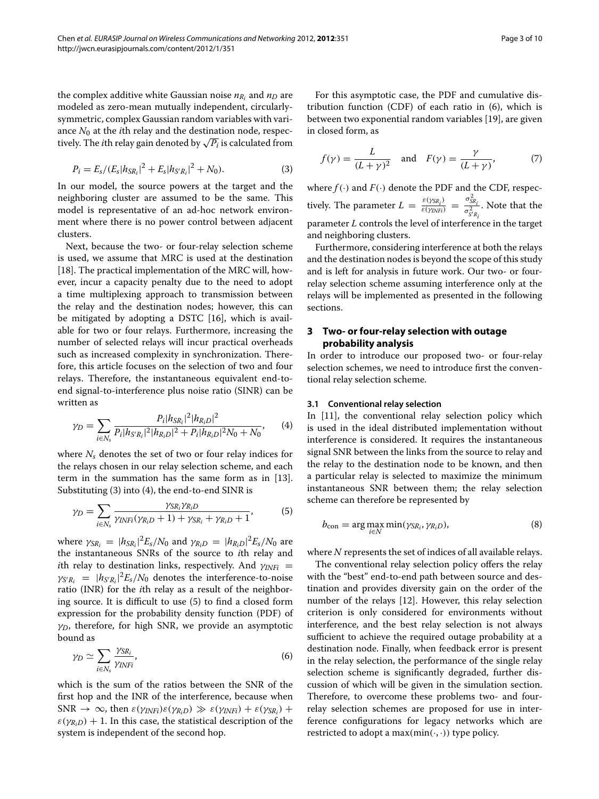the complex additive white Gaussian noise  $n_{R_i}$  and  $n_D$  are modeled as zero-mean mutually independent, circularlysymmetric, complex Gaussian random variables with variance *N*<sup>0</sup> at the *i*th relay and the destination node, respectively. The *i*th relay gain denoted by  $\sqrt{P_i}$  is calculated from

<span id="page-2-1"></span>
$$
P_i = E_s / (E_s |h_{SR_i}|^2 + E_s |h_{S'R_i}|^2 + N_0).
$$
\n(3)

In our model, the source powers at the target and the neighboring cluster are assumed to be the same. This model is representative of an ad-hoc network environment where there is no power control between adjacent clusters.

Next, because the two- or four-relay selection scheme is used, we assume that MRC is used at the destination [\[18\]](#page-9-16). The practical implementation of the MRC will, however, incur a capacity penalty due to the need to adopt a time multiplexing approach to transmission between the relay and the destination nodes; however, this can be mitigated by adopting a DSTC [\[16\]](#page-9-14), which is available for two or four relays. Furthermore, increasing the number of selected relays will incur practical overheads such as increased complexity in synchronization. Therefore, this article focuses on the selection of two and four relays. Therefore, the instantaneous equivalent end-toend signal-to-interference plus noise ratio (SINR) can be written as

<span id="page-2-2"></span>
$$
\gamma_D = \sum_{i \in N_s} \frac{P_i |h_{SR_i}|^2 |h_{R_iD}|^2}{P_i |h_{S'R_i}|^2 |h_{R_iD}|^2 + P_i |h_{R_iD}|^2 N_0 + N_0},\tag{4}
$$

where  $N_s$  denotes the set of two or four relay indices for the relays chosen in our relay selection scheme, and each term in the summation has the same form as in [\[13\]](#page-9-11). Substituting [\(3\)](#page-2-1) into [\(4\)](#page-2-2), the end-to-end SINR is

$$
\gamma_D = \sum_{i \in N_s} \frac{\gamma_{SR_i} \gamma_{R_i D}}{\gamma_{INFi} (\gamma_{R_i D} + 1) + \gamma_{SR_i} + \gamma_{R_i D} + 1},\tag{5}
$$

where  $\gamma_{SR_i} = |h_{SR_i}|^2 E_s/N_0$  and  $\gamma_{R_iD} = |h_{R_iD}|^2 E_s/N_0$  are the instantaneous SNRs of the source to *i*th relay and *i*th relay to destination links, respectively. And *γINFi* =  $\gamma_{S'R_i} = |h_{S'R_i}|^2 E_s/N_0$  denotes the interference-to-noise ratio (INR) for the *i*th relay as a result of the neighboring source. It is difficult to use [\(5\)](#page-2-3) to find a closed form expression for the probability density function (PDF) of *γD*, therefore, for high SNR, we provide an asymptotic bound as

<span id="page-2-4"></span>
$$
\gamma_D \simeq \sum_{i \in N_s} \frac{\gamma_{SR_i}}{\gamma_{INFi}},\tag{6}
$$

which is the sum of the ratios between the SNR of the first hop and the INR of the interference, because when  $\text{SNR} \rightarrow \infty$ , then  $\varepsilon(\gamma_{INFi})\varepsilon(\gamma_{RiD}) \gg \varepsilon(\gamma_{INFi}) + \varepsilon(\gamma_{SRi}) +$  $\varepsilon(\gamma_{R,D}) + 1$ . In this case, the statistical description of the system is independent of the second hop.

For this asymptotic case, the PDF and cumulative distribution function (CDF) of each ratio in [\(6\)](#page-2-4), which is between two exponential random variables [\[19\]](#page-9-17), are given in closed form, as

<span id="page-2-5"></span>
$$
f(\gamma) = \frac{L}{(L+\gamma)^2} \quad \text{and} \quad F(\gamma) = \frac{\gamma}{(L+\gamma)},\tag{7}
$$

where  $f(\cdot)$  and  $F(\cdot)$  denote the PDF and the CDF, respectively. The parameter  $L = \frac{\varepsilon(\gamma_{SR_i})}{\varepsilon(\gamma_{INF_i})} = \frac{\sigma_{SR_i}^2}{\sigma_{S'R_i}^2}$ . Note that the parameter *L* controls the level of interference in the target and neighboring clusters.

Furthermore, considering interference at both the relays and the destination nodes is beyond the scope of this study and is left for analysis in future work. Our two- or fourrelay selection scheme assuming interference only at the relays will be implemented as presented in the following sections.

## <span id="page-2-0"></span>**3 Two- or four-relay selection with outage probability analysis**

In order to introduce our proposed two- or four-relay selection schemes, we need to introduce first the conventional relay selection scheme.

## **3.1 Conventional relay selection**

In [\[11\]](#page-9-10), the conventional relay selection policy which is used in the ideal distributed implementation without interference is considered. It requires the instantaneous signal SNR between the links from the source to relay and the relay to the destination node to be known, and then a particular relay is selected to maximize the minimum instantaneous SNR between them; the relay selection scheme can therefore be represented by

<span id="page-2-3"></span>
$$
b_{\text{con}} = \arg \max_{i \in N} \min(\gamma_{SR_i}, \gamma_{R_i D}), \tag{8}
$$

where *N* represents the set of indices of all available relays.

The conventional relay selection policy offers the relay with the "best" end-to-end path between source and destination and provides diversity gain on the order of the number of the relays [\[12\]](#page-9-9). However, this relay selection criterion is only considered for environments without interference, and the best relay selection is not always sufficient to achieve the required outage probability at a destination node. Finally, when feedback error is present in the relay selection, the performance of the single relay selection scheme is significantly degraded, further discussion of which will be given in the simulation section. Therefore, to overcome these problems two- and fourrelay selection schemes are proposed for use in interference configurations for legacy networks which are restricted to adopt a max*(*min*(*·, ·*))* type policy.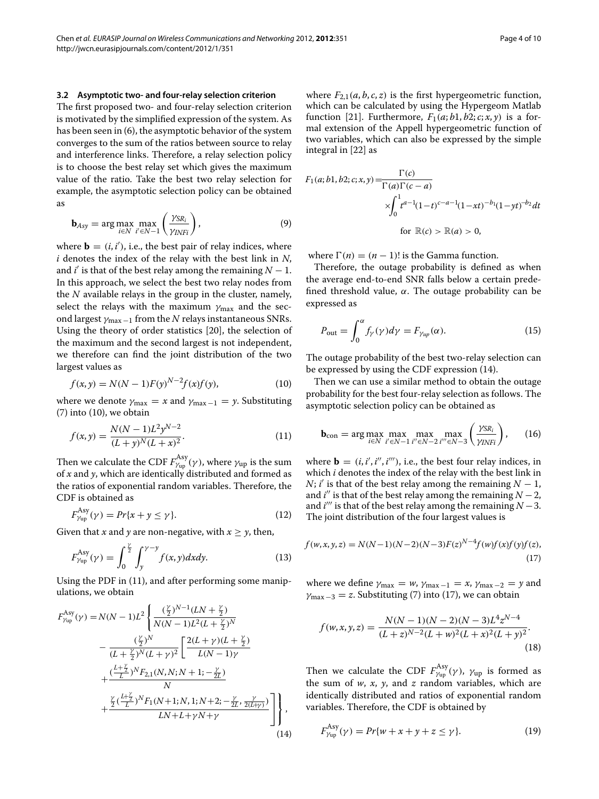### **3.2 Asymptotic two- and four-relay selection criterion**

The first proposed two- and four-relay selection criterion is motivated by the simplified expression of the system. As has been seen in [\(6\)](#page-2-4), the asymptotic behavior of the system converges to the sum of the ratios between source to relay and interference links. Therefore, a relay selection policy is to choose the best relay set which gives the maximum value of the ratio. Take the best two relay selection for example, the asymptotic selection policy can be obtained as

$$
\mathbf{b}_{Asy} = \arg \max_{i \in N} \max_{i' \in N-1} \left( \frac{\gamma_{SR_i}}{\gamma_{INFi}} \right), \tag{9}
$$

where  $\mathbf{b} = (i, i'),$  i.e., the best pair of relay indices, where *i* denotes the index of the relay with the best link in *N*, and *i'* is that of the best relay among the remaining  $N - 1$ . In this approach, we select the best two relay nodes from the *N* available relays in the group in the cluster, namely, select the relays with the maximum *γ*max and the second largest  $\gamma_{\text{max}-1}$  from the *N* relays instantaneous SNRs. Using the theory of order statistics [\[20\]](#page-9-18), the selection of the maximum and the second largest is not independent, we therefore can find the joint distribution of the two largest values as

<span id="page-3-0"></span>
$$
f(x, y) = N(N-1)F(y)^{N-2}f(x)f(y),
$$
\n(10)

where we denote  $\gamma_{\text{max}} = x$  and  $\gamma_{\text{max}} = y$ . Substituting [\(7\)](#page-2-5) into [\(10\)](#page-3-0), we obtain

<span id="page-3-1"></span>
$$
f(x,y) = \frac{N(N-1)L^2 y^{N-2}}{(L+y)^N (L+x)^2}.
$$
\n(11)

Then we calculate the CDF  $F^{\rm Asy}_{\rm \gamma_{up}}(\gamma)$ , where  $\gamma_{\rm up}$  is the sum of *x* and *y*, which are identically distributed and formed as the ratios of exponential random variables. Therefore, the CDF is obtained as

$$
F_{\gamma_{\rm up}}^{\rm Asy}(\gamma) = Pr\{x + y \le \gamma\}.
$$
 (12)

Given that *x* and *y* are non-negative, with  $x > y$ , then,

$$
F_{\gamma_{\rm up}}^{\rm Asy}(\gamma) = \int_0^{\frac{\gamma}{2}} \int_y^{\gamma - y} f(x, y) dx dy.
$$
 (13)

Using the PDF in [\(11\)](#page-3-1), and after performing some manipulations, we obtain

<span id="page-3-2"></span>
$$
F_{\gamma_{up}}^{\text{Asy}}(\gamma) = N(N-1)L^{2} \left\{ \frac{\left(\frac{\gamma}{2}\right)^{N-1} (LN + \frac{\gamma}{2})}{N(N-1)L^{2}(L + \frac{\gamma}{2})^{N}} - \frac{\left(\frac{\gamma}{2}\right)^{N}}{(L + \frac{\gamma}{2})^{N}(L + \gamma)^{2}} \left[ \frac{2(L + \gamma)(L + \frac{\gamma}{2})}{L(N-1)\gamma} + \frac{\left(\frac{L + \frac{\gamma}{2}}{L}\right)^{N} F_{2,1}(N, N; N + 1; -\frac{\gamma}{2L})}{N} + \frac{\frac{\gamma}{2} \left(\frac{L + \frac{\gamma}{2}}{L}\right)^{N} F_{1}(N + 1; N, 1; N + 2; -\frac{\gamma}{2L}, \frac{\gamma}{2(L + \gamma)})}{LN + L + \gamma N + \gamma} \right\},\tag{14}
$$

where  $F_{2,1}(a, b, c, z)$  is the first hypergeometric function, which can be calculated by using the Hypergeom Matlab function [\[21\]](#page-9-19). Furthermore,  $F_1(a; b1, b2; c; x, y)$  is a formal extension of the Appell hypergeometric function of two variables, which can also be expressed by the simple integral in [\[22\]](#page-9-20) as

$$
F_1(a; b1, b2; c; x, y) = \frac{\Gamma(c)}{\Gamma(a)\Gamma(c-a)}
$$
  
 
$$
\times \int_0^1 t^{a-1} (1-t)^{c-a-1} (1-xt)^{-b_1} (1-yt)^{-b_2} dt
$$
  
for  $\mathbb{R}(c) > \mathbb{R}(a) > 0$ ,

where  $\Gamma(n) = (n-1)!$  is the Gamma function.

Therefore, the outage probability is defined as when the average end-to-end SNR falls below a certain predefined threshold value, *α*. The outage probability can be expressed as

<span id="page-3-5"></span>
$$
P_{\text{out}} = \int_0^\alpha f_\gamma(\gamma) d\gamma = F_{\gamma_{up}}(\alpha). \tag{15}
$$

The outage probability of the best two-relay selection can be expressed by using the CDF expression [\(14\)](#page-3-2).

Then we can use a similar method to obtain the outage probability for the best four-relay selection as follows. The asymptotic selection policy can be obtained as

$$
\mathbf{b}_{\text{con}} = \arg \max_{i \in N} \max_{i' \in N-1} \max_{i'' \in N-2} \max_{i'' \in N-3} \left( \frac{\gamma_{SR_i}}{\gamma_{INFi}} \right), \qquad (16)
$$

where  $\mathbf{b} = (i, i', i'', i''')$ , i.e., the best four relay indices, in which *i* denotes the index of the relay with the best link in *N*; *i'* is that of the best relay among the remaining  $N - 1$ , and  $i''$  is that of the best relay among the remaining  $N-2$ , and  $i^{\prime\prime\prime}$  is that of the best relay among the remaining  $N-3$ . The joint distribution of the four largest values is

<span id="page-3-6"></span><span id="page-3-3"></span>
$$
f(w, x, y, z) = N(N-1)(N-2)(N-3)F(z)^{N-4}f(w)f(x)f(y)f(z),
$$
\n(17)

where we define  $\gamma_{\text{max}} = w$ ,  $\gamma_{\text{max}-1} = x$ ,  $\gamma_{\text{max}-2} = y$  and  $\gamma_{\text{max}-3}$  = *z*. Substituting [\(7\)](#page-2-5) into [\(17\)](#page-3-3), we can obtain

<span id="page-3-4"></span>
$$
f(w,x,y,z) = \frac{N(N-1)(N-2)(N-3)L^{4}z^{N-4}}{(L+z)^{N-2}(L+w)^{2}(L+x)^{2}(L+y)^{2}}.
$$
\n(18)

Then we calculate the CDF  $F^{\rm Asy}_{\rm \gamma_{up}}(\gamma)$ ,  $\gamma_{\rm up}$  is formed as the sum of *w*, *x*, *y*, and *z* random variables, which are identically distributed and ratios of exponential random variables. Therefore, the CDF is obtained by

$$
F_{\gamma_{\rm up}}^{\rm Asy}(\gamma) = Pr\{w + x + y + z \le \gamma\}.
$$
 (19)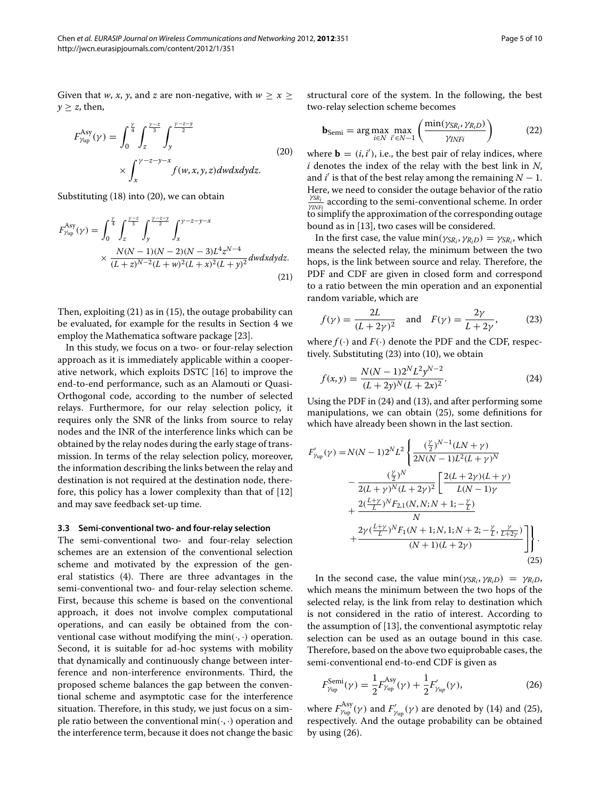Given that *w*, *x*, *y*, and *z* are non-negative, with  $w \ge x \ge$  $y \geq z$ , then,

<span id="page-4-0"></span>
$$
F_{\gamma_{\text{up}}}^{\text{Asy}}(\gamma) = \int_0^{\frac{\gamma}{4}} \int_z^{\frac{\gamma - z}{3}} \int_y^{\frac{\gamma - z - y}{2}} (20) \times \int_x^{\gamma - z - \gamma - x} f(w, x, y, z) dw dx dy dz.
$$

Substituting [\(18\)](#page-3-4) into [\(20\)](#page-4-0), we can obtain

$$
F_{\gamma_{\text{up}}}^{\text{Asy}}(\gamma) = \int_0^{\frac{\gamma}{4}} \int_z^{\frac{\gamma - z}{3}} \int_y^{\frac{\gamma - z - y}{2}} \int_x^{\gamma - z - y - x} \times \frac{N(N - 1)(N - 2)(N - 3)L^4 z^{N - 4}}{(L + z)^{N - 2}(L + w)^2 (L + x)^2 (L + y)^2} dwdxdydz.
$$
\n(21)

Then, exploiting [\(21\)](#page-4-1) as in [\(15\)](#page-3-5), the outage probability can be evaluated, for example for the results in Section [4](#page-5-0) we employ the Mathematica software package [\[23\]](#page-9-21).

In this study, we focus on a two- or four-relay selection approach as it is immediately applicable within a cooperative network, which exploits DSTC [\[16\]](#page-9-14) to improve the end-to-end performance, such as an Alamouti or Quasi-Orthogonal code, according to the number of selected relays. Furthermore, for our relay selection policy, it requires only the SNR of the links from source to relay nodes and the INR of the interference links which can be obtained by the relay nodes during the early stage of transmission. In terms of the relay selection policy, moreover, the information describing the links between the relay and destination is not required at the destination node, therefore, this policy has a lower complexity than that of [\[12\]](#page-9-9) and may save feedback set-up time.

#### **3.3 Semi-conventional two- and four-relay selection**

The semi-conventional two- and four-relay selection schemes are an extension of the conventional selection scheme and motivated by the expression of the general statistics [\(4\)](#page-2-2). There are three advantages in the semi-conventional two- and four-relay selection scheme. First, because this scheme is based on the conventional approach, it does not involve complex computational operations, and can easily be obtained from the conventional case without modifying the  $min(\cdot, \cdot)$  operation. Second, it is suitable for ad-hoc systems with mobility that dynamically and continuously change between interference and non-interference environments. Third, the proposed scheme balances the gap between the conventional scheme and asymptotic case for the interference situation. Therefore, in this study, we just focus on a simple ratio between the conventional min*(*·, ·*)* operation and the interference term, because it does not change the basic

structural core of the system. In the following, the best two-relay selection scheme becomes

$$
\mathbf{b}_{\text{Semi}} = \arg \max_{i \in N} \max_{i' \in N-1} \left( \frac{\min(\gamma_{SR_i}, \gamma_{R_i D})}{\gamma_{INFi}} \right) \tag{22}
$$

<span id="page-4-1"></span>where  $\mathbf{b} = (i, i'),$  i.e., the best pair of relay indices, where *i* denotes the index of the relay with the best link in *N*, and *i'* is that of the best relay among the remaining  $N - 1$ . Here, we need to consider the outage behavior of the ratio *γ<i>γ***<sub>***N***</sub>***i* according to the semi-conventional scheme. In order *γV*<sub>*NNFi*</sub>  $\frac{\gamma_{INFI}}{\gamma_{INFI}}$  according to the semi-conventional seneme. In order bound as in [\[13\]](#page-9-11), two cases will be considered.

In the first case, the value  $\min(\gamma_{SR_i}, \gamma_{R_iD}) = \gamma_{SR_i}$ , which means the selected relay, the minimum between the two hops, is the link between source and relay. Therefore, the PDF and CDF are given in closed form and correspond to a ratio between the min operation and an exponential random variable, which are

<span id="page-4-2"></span>
$$
f(\gamma) = \frac{2L}{(L+2\gamma)^2} \quad \text{and} \quad F(\gamma) = \frac{2\gamma}{L+2\gamma},\tag{23}
$$

where  $f(\cdot)$  and  $F(\cdot)$  denote the PDF and the CDF, respectively. Substituting [\(23\)](#page-4-2) into [\(10\)](#page-3-0), we obtain

<span id="page-4-4"></span><span id="page-4-3"></span>
$$
f(x,y) = \frac{N(N-1)2^N L^2 y^{N-2}}{(L+2y)^N (L+2x)^2}.
$$
 (24)

Using the PDF in [\(24\)](#page-4-3) and [\(13\)](#page-3-6), and after performing some manipulations, we can obtain [\(25\)](#page-4-4), some definitions for which have already been shown in the last section.

$$
F'_{\gamma_{\text{up}}}(\gamma) = N(N-1)2^{N}L^{2}\left\{\frac{(\frac{\gamma}{2})^{N-1}(LN+\gamma)}{2N(N-1)L^{2}(L+\gamma)^{N}} - \frac{(\frac{\gamma}{2})^{N}}{2(L+\gamma)^{N}(L+2\gamma)^{2}}\left[\frac{2(L+2\gamma)(L+\gamma)}{L(N-1)\gamma} + \frac{2(\frac{L+\gamma}{L})^{N}F_{2,1}(N,N;N+1;-\frac{\gamma}{L})}{N} + \frac{2\gamma(\frac{L+\gamma}{L})^{N}F_{1}(N+1;N,1;N+2;-\frac{\gamma}{L},\frac{\gamma}{L+2\gamma})}{(N+1)(L+2\gamma)}\right]\right\}.
$$
\n(25)

In the second case, the value min $(\gamma_{SR_i}, \gamma_{R_iD}) = \gamma_{R_iD}$ , which means the minimum between the two hops of the selected relay, is the link from relay to destination which is not considered in the ratio of interest. According to the assumption of [\[13\]](#page-9-11), the conventional asymptotic relay selection can be used as an outage bound in this case. Therefore, based on the above two equiprobable cases, the semi-conventional end-to-end CDF is given as

<span id="page-4-5"></span>
$$
F_{\gamma_{\rm up}}^{\rm Semi}(\gamma) = \frac{1}{2} F_{\gamma_{\rm up}}^{\rm Asy}(\gamma) + \frac{1}{2} F_{\gamma_{\rm up}}'(\gamma), \tag{26}
$$

where  $F^{\rm Asy}_{\rm \gamma_{up}}(\gamma)$  and  $F'_{\rm \gamma_{up}}(\gamma)$  are denoted by [\(14\)](#page-3-2) and [\(25\)](#page-4-4), respectively. And the outage probability can be obtained by using [\(26\)](#page-4-5).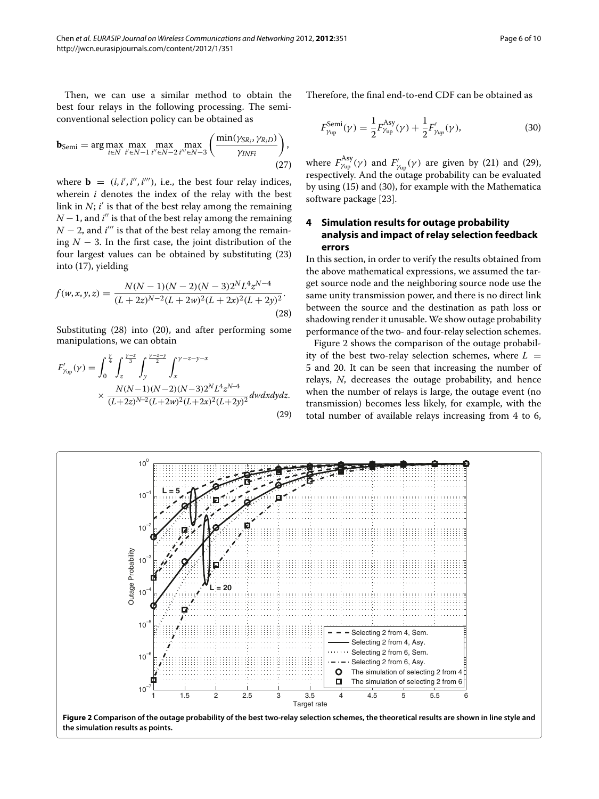Then, we can use a similar method to obtain the best four relays in the following processing. The semiconventional selection policy can be obtained as

$$
\mathbf{b}_{\text{Semi}} = \arg \max_{i \in N} \max_{i' \in N-1} \max_{i'' \in N-2} \max_{i'' \in N-3} \left( \frac{\min(\gamma_{SR_i}, \gamma_{R_iD})}{\gamma_{INFi}} \right),\tag{27}
$$

where  $\mathbf{b} = (i, i', i'', i''')$ , i.e., the best four relay indices, wherein *i* denotes the index of the relay with the best link in  $N$ ;  $i'$  is that of the best relay among the remaining *N*  $-$  1, and *i* $\degree$  is that of the best relay among the remaining  $N-2$ , and *i*<sup>'''</sup> is that of the best relay among the remaining  $N-3$ . In the first case, the joint distribution of the four largest values can be obtained by substituting [\(23\)](#page-4-2) into [\(17\)](#page-3-3), yielding

<span id="page-5-1"></span>
$$
f(w,x,y,z) = \frac{N(N-1)(N-2)(N-3)2^N L^4 z^{N-4}}{(L+2z)^{N-2}(L+2w)^2 (L+2x)^2 (L+2y)^2}.
$$
\n(28)

<span id="page-5-2"></span>Substituting [\(28\)](#page-5-1) into [\(20\)](#page-4-0), and after performing some manipulations, we can obtain

$$
F'_{\gamma_{\text{up}}}(\gamma) = \int_0^{\frac{\gamma}{4}} \int_z^{\frac{\gamma - z}{3}} \int_y^{\frac{\gamma - z - y}{2}} \int_x^{\gamma - z - y - x} \times \frac{N(N - 1)(N - 2)(N - 3)2^N L^4 z^{N - 4}}{(L + 2z)^{N - 2} (L + 2w)^2 (L + 2x)^2 (L + 2y)^2} dw dx dy dz.
$$
\n(29)

Therefore, the final end-to-end CDF can be obtained as

<span id="page-5-3"></span>
$$
F_{\gamma_{\rm up}}^{\rm Semi}(\gamma) = \frac{1}{2} F_{\gamma_{\rm up}}^{\rm Asy}(\gamma) + \frac{1}{2} F_{\gamma_{\rm up}}'(\gamma), \tag{30}
$$

where  $F_{\gamma_{\rm up}}^{\rm Asy}(\gamma)$  and  $F_{\gamma_{\rm up}}'(\gamma)$  are given by [\(21\)](#page-4-1) and [\(29\)](#page-5-2), respectively. And the outage probability can be evaluated by using [\(15\)](#page-3-5) and [\(30\)](#page-5-3), for example with the Mathematica software package [\[23\]](#page-9-21).

## <span id="page-5-0"></span>**4 Simulation results for outage probability analysis and impact of relay selection feedback errors**

In this section, in order to verify the results obtained from the above mathematical expressions, we assumed the target source node and the neighboring source node use the same unity transmission power, and there is no direct link between the source and the destination as path loss or shadowing render it unusable. We show outage probability performance of the two- and four-relay selection schemes.

Figure [2](#page-5-4) shows the comparison of the outage probability of the best two-relay selection schemes, where  $L =$ 5 and 20. It can be seen that increasing the number of relays, *N*, decreases the outage probability, and hence when the number of relays is large, the outage event (no transmission) becomes less likely, for example, with the total number of available relays increasing from 4 to 6,

<span id="page-5-4"></span>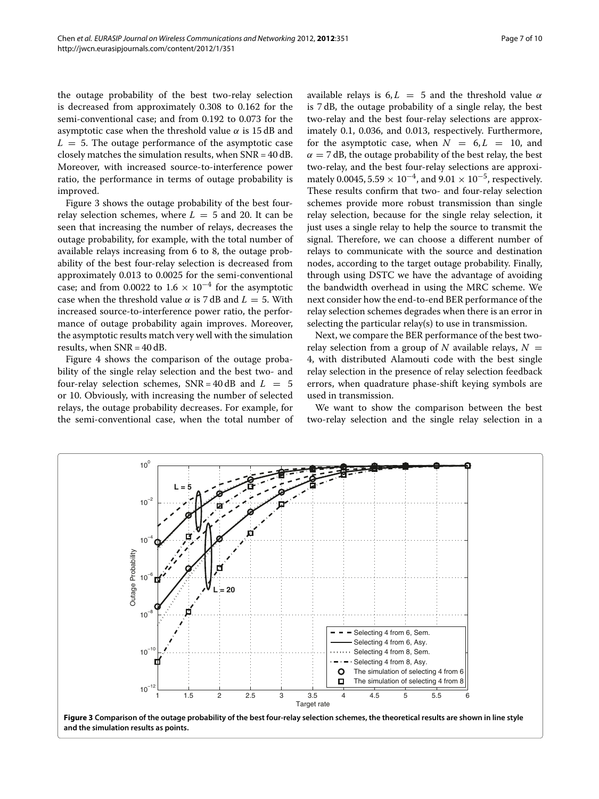the outage probability of the best two-relay selection is decreased from approximately 0.308 to 0.162 for the semi-conventional case; and from 0.192 to 0.073 for the asymptotic case when the threshold value *α* is 15 dB and  $L = 5$ . The outage performance of the asymptotic case closely matches the simulation results, when SNR = 40 dB. Moreover, with increased source-to-interference power ratio, the performance in terms of outage probability is improved.

Figure [3](#page-6-0) shows the outage probability of the best fourrelay selection schemes, where  $L = 5$  and 20. It can be seen that increasing the number of relays, decreases the outage probability, for example, with the total number of available relays increasing from 6 to 8, the outage probability of the best four-relay selection is decreased from approximately 0.013 to 0.0025 for the semi-conventional case; and from 0.0022 to 1.6  $\times$  10<sup>-4</sup> for the asymptotic case when the threshold value  $\alpha$  is 7 dB and  $L = 5$ . With increased source-to-interference power ratio, the performance of outage probability again improves. Moreover, the asymptotic results match very well with the simulation results, when SNR = 40 dB.

Figure [4](#page-7-0) shows the comparison of the outage probability of the single relay selection and the best two- and four-relay selection schemes,  $SNR = 40$  dB and  $L = 5$ or 10. Obviously, with increasing the number of selected relays, the outage probability decreases. For example, for the semi-conventional case, when the total number of available relays is 6, *L* = 5 and the threshold value *α* is 7 dB, the outage probability of a single relay, the best two-relay and the best four-relay selections are approximately 0.1, 0.036, and 0.013, respectively. Furthermore, for the asymptotic case, when  $N = 6, L = 10$ , and  $\alpha = 7$  dB, the outage probability of the best relay, the best two-relay, and the best four-relay selections are approximately 0.0045, 5.59  $\times$  10<sup>-4</sup>, and 9.01  $\times$  10<sup>-5</sup>, respectively. These results confirm that two- and four-relay selection schemes provide more robust transmission than single relay selection, because for the single relay selection, it just uses a single relay to help the source to transmit the signal. Therefore, we can choose a different number of relays to communicate with the source and destination nodes, according to the target outage probability. Finally, through using DSTC we have the advantage of avoiding the bandwidth overhead in using the MRC scheme. We next consider how the end-to-end BER performance of the relay selection schemes degrades when there is an error in selecting the particular relay(s) to use in transmission.

Next, we compare the BER performance of the best tworelay selection from a group of N available relays,  $N =$ 4, with distributed Alamouti code with the best single relay selection in the presence of relay selection feedback errors, when quadrature phase-shift keying symbols are used in transmission.

We want to show the comparison between the best two-relay selection and the single relay selection in a

<span id="page-6-0"></span>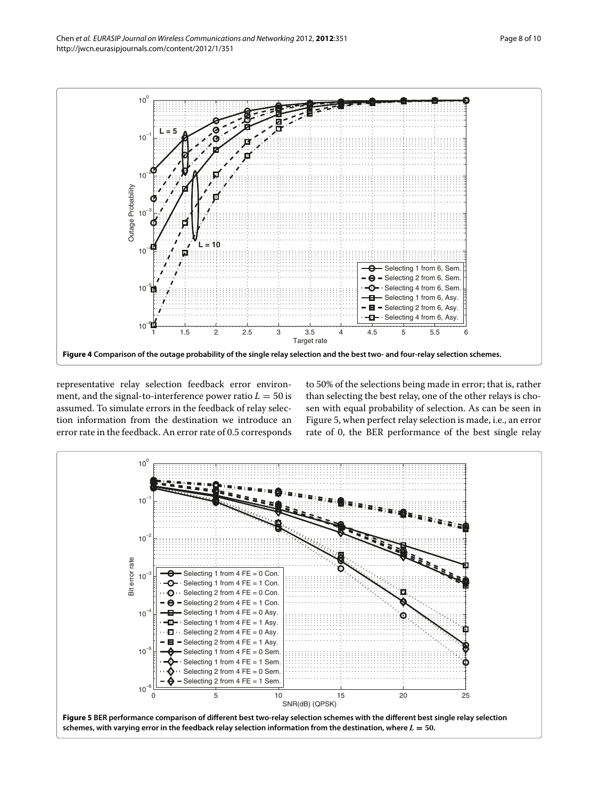

<span id="page-7-0"></span>representative relay selection feedback error environment, and the signal-to-interference power ratio  $L = 50$  is assumed. To simulate errors in the feedback of relay selection information from the destination we introduce an error rate in the feedback. An error rate of 0.5 corresponds to 50% of the selections being made in error; that is, rather than selecting the best relay, one of the other relays is chosen with equal probability of selection. As can be seen in Figure [5,](#page-7-1) when perfect relay selection is made, i.e., an error rate of 0, the BER performance of the best single relay

<span id="page-7-1"></span>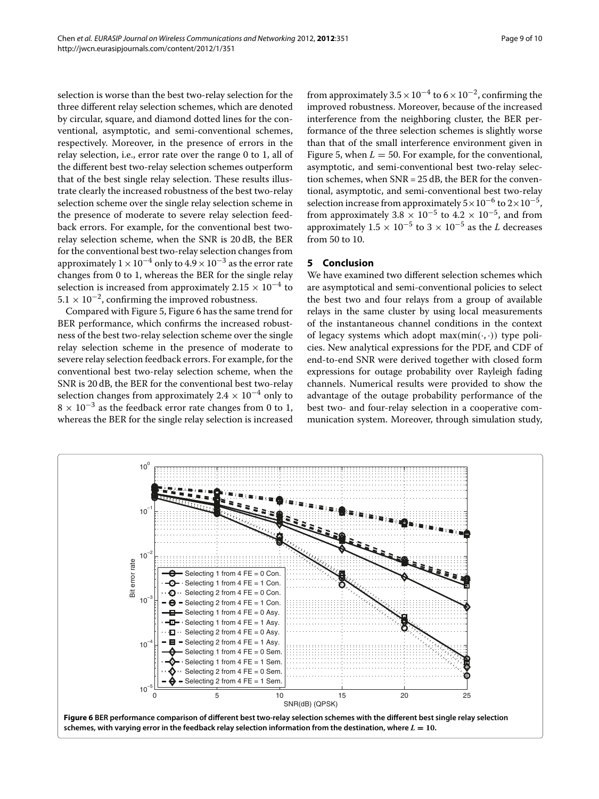selection is worse than the best two-relay selection for the three different relay selection schemes, which are denoted by circular, square, and diamond dotted lines for the conventional, asymptotic, and semi-conventional schemes, respectively. Moreover, in the presence of errors in the relay selection, i.e., error rate over the range 0 to 1, all of the different best two-relay selection schemes outperform that of the best single relay selection. These results illustrate clearly the increased robustness of the best two-relay selection scheme over the single relay selection scheme in the presence of moderate to severe relay selection feedback errors. For example, for the conventional best tworelay selection scheme, when the SNR is 20 dB, the BER for the conventional best two-relay selection changes from approximately  $1 \times 10^{-4}$  only to  $4.9 \times 10^{-3}$  as the error rate changes from 0 to 1, whereas the BER for the single relay selection is increased from approximately 2.15  $\times$  10<sup>-4</sup> to  $5.1 \times 10^{-2}$ , confirming the improved robustness.

Compared with Figure [5,](#page-7-1) Figure [6](#page-8-1) has the same trend for BER performance, which confirms the increased robustness of the best two-relay selection scheme over the single relay selection scheme in the presence of moderate to severe relay selection feedback errors. For example, for the conventional best two-relay selection scheme, when the SNR is 20 dB, the BER for the conventional best two-relay selection changes from approximately  $2.4 \times 10^{-4}$  only to  $8 \times 10^{-3}$  as the feedback error rate changes from 0 to 1, whereas the BER for the single relay selection is increased from approximately  $3.5 \times 10^{-4}$  to  $6 \times 10^{-2}$ , confirming the improved robustness. Moreover, because of the increased interference from the neighboring cluster, the BER performance of the three selection schemes is slightly worse than that of the small interference environment given in Figure [5,](#page-7-1) when  $L = 50$ . For example, for the conventional, asymptotic, and semi-conventional best two-relay selection schemes, when SNR = 25 dB, the BER for the conventional, asymptotic, and semi-conventional best two-relay selection increase from approximately  $5\times10^{-6}$  to  $2\times10^{-5}$ , from approximately 3.8  $\times$  10<sup>-5</sup> to 4.2  $\times$  10<sup>-5</sup>, and from approximately  $1.5 \times 10^{-5}$  to  $3 \times 10^{-5}$  as the *L* decreases from 50 to 10.

## <span id="page-8-0"></span>**5 Conclusion**

We have examined two different selection schemes which are asymptotical and semi-conventional policies to select the best two and four relays from a group of available relays in the same cluster by using local measurements of the instantaneous channel conditions in the context of legacy systems which adopt max*(*min*(*·, ·*))* type policies. New analytical expressions for the PDF, and CDF of end-to-end SNR were derived together with closed form expressions for outage probability over Rayleigh fading channels. Numerical results were provided to show the advantage of the outage probability performance of the best two- and four-relay selection in a cooperative communication system. Moreover, through simulation study,

<span id="page-8-1"></span>